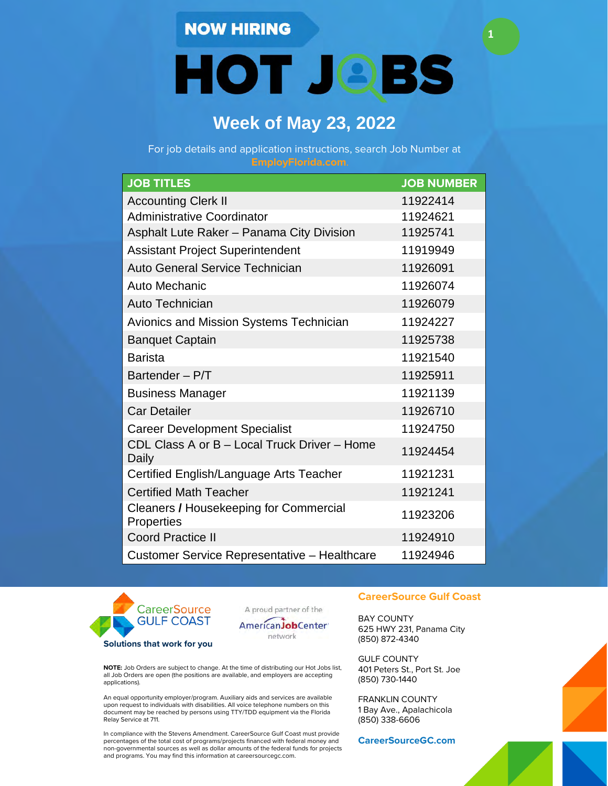**HOT JOBS** 

**1**

# **Week of May 23, 2022**

For job details and application instructions, search Job Number at

| <b>JOB TITLES</b>                                     | <b>JOB NUMBER</b> |
|-------------------------------------------------------|-------------------|
| <b>Accounting Clerk II</b>                            | 11922414          |
| <b>Administrative Coordinator</b>                     | 11924621          |
| Asphalt Lute Raker - Panama City Division             | 11925741          |
| <b>Assistant Project Superintendent</b>               | 11919949          |
| Auto General Service Technician                       | 11926091          |
| <b>Auto Mechanic</b>                                  | 11926074          |
| <b>Auto Technician</b>                                | 11926079          |
| Avionics and Mission Systems Technician               | 11924227          |
| <b>Banquet Captain</b>                                | 11925738          |
| <b>Barista</b>                                        | 11921540          |
| Bartender - P/T                                       | 11925911          |
| <b>Business Manager</b>                               | 11921139          |
| <b>Car Detailer</b>                                   | 11926710          |
| <b>Career Development Specialist</b>                  | 11924750          |
| CDL Class A or B - Local Truck Driver - Home<br>Daily | 11924454          |
| Certified English/Language Arts Teacher               | 11921231          |
| <b>Certified Math Teacher</b>                         | 11921241          |
| Cleaners / Housekeeping for Commercial<br>Properties  | 11923206          |
| <b>Coord Practice II</b>                              | 11924910          |
| Customer Service Representative - Healthcare          | 11924946          |







**NOTE:** Job Orders are subject to change. At the time of distributing our Hot Jobs list, all Job Orders are open (the positions are available, and employers are accepting applications).

An equal opportunity employer/program. Auxiliary aids and services are available upon request to individuals with disabilities. All voice telephone numbers on this document may be reached by persons using TTY/TDD equipment via the Florida Relay Service at 711.

In compliance with the Stevens Amendment. CareerSource Gulf Coast must provide percentages of the total cost of programs/projects financed with federal money and non-governmental sources as well as dollar amounts of the federal funds for projects and programs. You may find this information at careersourcegc.com.

#### **CareerSource Gulf Coast**

BAY COUNTY 625 HWY 231, Panama City (850) 872-4340

GULF COUNTY 401 Peters St., Port St. Joe (850) 730-1440

FRANKLIN COUNTY 1 Bay Ave., Apalachicola (850) 338-6606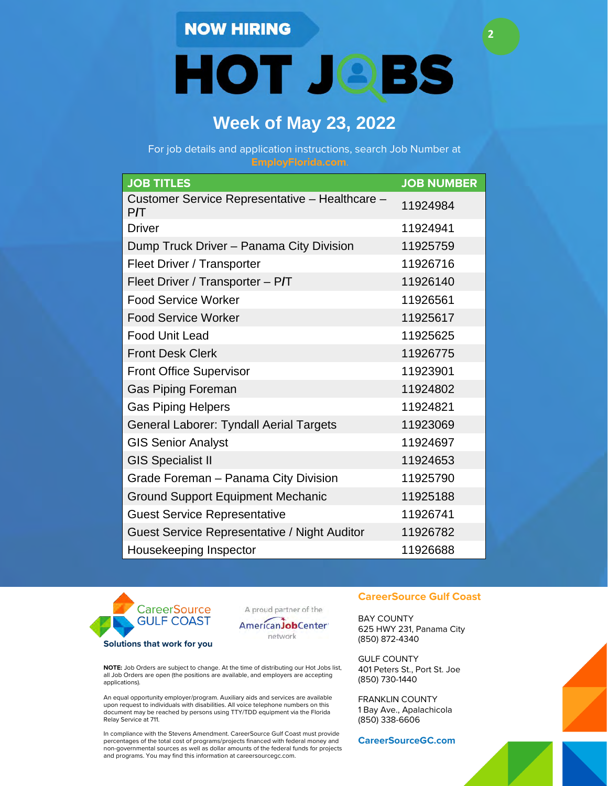**HOT JOBS** 

**2**

# **Week of May 23, 2022**

For job details and application instructions, search Job Number at

| <b>JOB TITLES</b>                                    | <b>JOB NUMBER</b> |
|------------------------------------------------------|-------------------|
| Customer Service Representative - Healthcare -<br>PЛ | 11924984          |
| <b>Driver</b>                                        | 11924941          |
| Dump Truck Driver - Panama City Division             | 11925759          |
| Fleet Driver / Transporter                           | 11926716          |
| Fleet Driver / Transporter - P/T                     | 11926140          |
| <b>Food Service Worker</b>                           | 11926561          |
| <b>Food Service Worker</b>                           | 11925617          |
| <b>Food Unit Lead</b>                                | 11925625          |
| <b>Front Desk Clerk</b>                              | 11926775          |
| <b>Front Office Supervisor</b>                       | 11923901          |
| <b>Gas Piping Foreman</b>                            | 11924802          |
| <b>Gas Piping Helpers</b>                            | 11924821          |
| General Laborer: Tyndall Aerial Targets              | 11923069          |
| <b>GIS Senior Analyst</b>                            | 11924697          |
| <b>GIS Specialist II</b>                             | 11924653          |
| Grade Foreman - Panama City Division                 | 11925790          |
| <b>Ground Support Equipment Mechanic</b>             | 11925188          |
| <b>Guest Service Representative</b>                  | 11926741          |
| Guest Service Representative / Night Auditor         | 11926782          |
| Housekeeping Inspector                               | 11926688          |



A proud partner of the

AmericanJobCenter' network

**NOTE:** Job Orders are subject to change. At the time of distributing our Hot Jobs list, all Job Orders are open (the positions are available, and employers are accepting applications).

An equal opportunity employer/program. Auxiliary aids and services are available upon request to individuals with disabilities. All voice telephone numbers on this document may be reached by persons using TTY/TDD equipment via the Florida Relay Service at 711.

In compliance with the Stevens Amendment. CareerSource Gulf Coast must provide percentages of the total cost of programs/projects financed with federal money and non-governmental sources as well as dollar amounts of the federal funds for projects and programs. You may find this information at careersourcegc.com.

#### **CareerSource Gulf Coast**

BAY COUNTY 625 HWY 231, Panama City (850) 872-4340

GULF COUNTY 401 Peters St., Port St. Joe (850) 730-1440

FRANKLIN COUNTY 1 Bay Ave., Apalachicola (850) 338-6606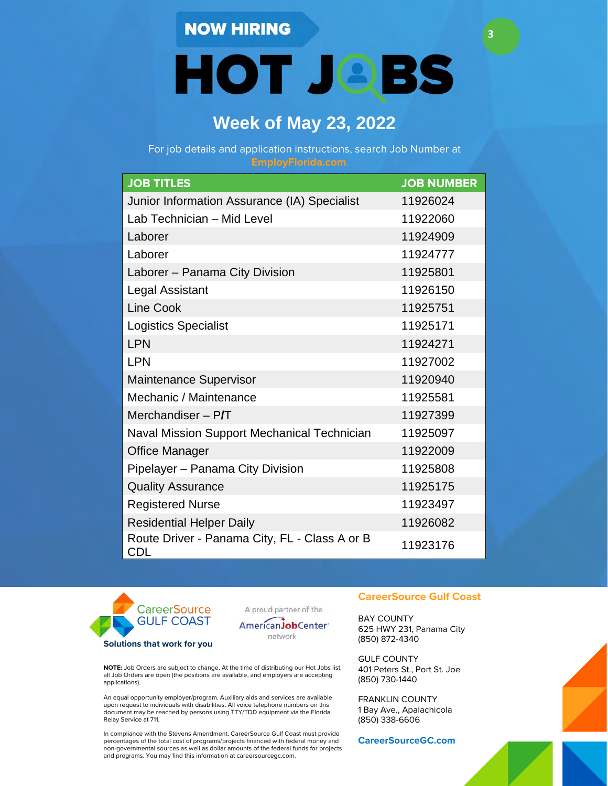**HOT JOBS** 

**3**

# **Week of May 23, 2022**

For job details and application instructions, search Job Number at

| <b>JOB TITLES</b>                                    | <b>JOB NUMBER</b> |
|------------------------------------------------------|-------------------|
| Junior Information Assurance (IA) Specialist         | 11926024          |
| Lab Technician - Mid Level                           | 11922060          |
| Laborer                                              | 11924909          |
| Laborer                                              | 11924777          |
| Laborer - Panama City Division                       | 11925801          |
| <b>Legal Assistant</b>                               | 11926150          |
| <b>Line Cook</b>                                     | 11925751          |
| <b>Logistics Specialist</b>                          | 11925171          |
| <b>LPN</b>                                           | 11924271          |
| <b>LPN</b>                                           | 11927002          |
| <b>Maintenance Supervisor</b>                        | 11920940          |
| Mechanic / Maintenance                               | 11925581          |
| Merchandiser $-$ P/T                                 | 11927399          |
| Naval Mission Support Mechanical Technician          | 11925097          |
| <b>Office Manager</b>                                | 11922009          |
| Pipelayer - Panama City Division                     | 11925808          |
| <b>Quality Assurance</b>                             | 11925175          |
| <b>Registered Nurse</b>                              | 11923497          |
| <b>Residential Helper Daily</b>                      | 11926082          |
| Route Driver - Panama City, FL - Class A or B<br>CDL | 11923176          |



A proud partner of the



**NOTE:** Job Orders are subject to change. At the time of distributing our Hot Jobs list, all Job Orders are open (the positions are available, and employers are accepting applications).

An equal opportunity employer/program. Auxiliary aids and services are available upon request to individuals with disabilities. All voice telephone numbers on this document may be reached by persons using TTY/TDD equipment via the Florida Relay Service at 711.

In compliance with the Stevens Amendment. CareerSource Gulf Coast must provide percentages of the total cost of programs/projects financed with federal money and non-governmental sources as well as dollar amounts of the federal funds for projects and programs. You may find this information at careersourcegc.com.

#### **CareerSource Gulf Coast**

BAY COUNTY 625 HWY 231, Panama City (850) 872-4340

GULF COUNTY 401 Peters St., Port St. Joe (850) 730-1440

FRANKLIN COUNTY 1 Bay Ave., Apalachicola (850) 338-6606